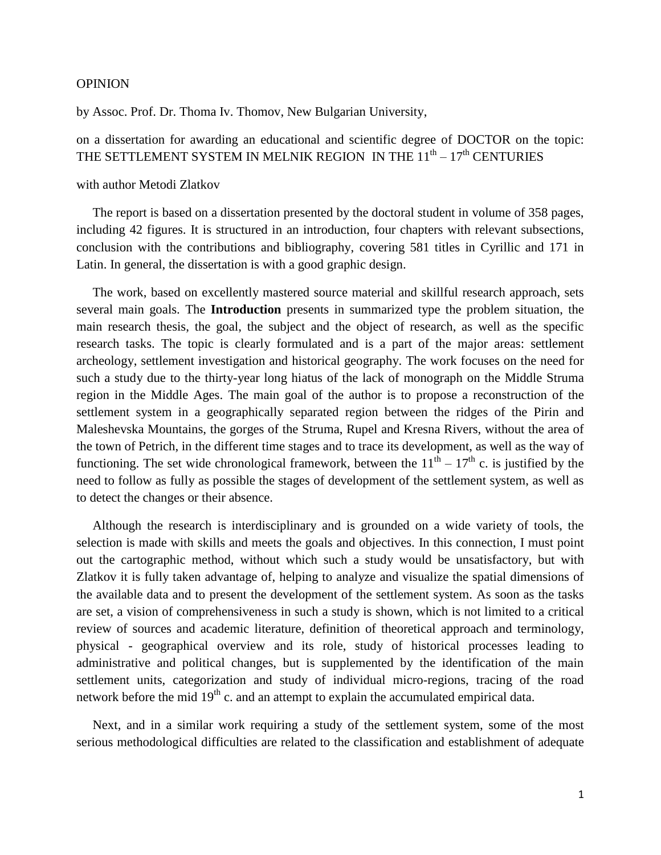## OPINION

by Assoc. Prof. Dr. Thoma Iv. Thomov, New Bulgarian University,

on a dissertation for awarding an educational and scientific degree of DOCTOR on the topic: THE SETTLEMENT SYSTEM IN MELNIK REGION IN THE  $11^{\text{th}} - 17^{\text{th}}$  CENTURIES

## with author Metodi Zlatkov

 The report is based on a dissertation presented by the doctoral student in volume of 358 pages, including 42 figures. It is structured in an introduction, four chapters with relevant subsections, conclusion with the contributions and bibliography, covering 581 titles in Cyrillic and 171 in Latin. In general, the dissertation is with a good graphic design.

 The work, based on excellently mastered source material and skillful research approach, sets several main goals. The **Introduction** presents in summarized type the problem situation, the main research thesis, the goal, the subject and the object of research, as well as the specific research tasks. The topic is clearly formulated and is a part of the major areas: settlement archeology, settlement investigation and historical geography. The work focuses on the need for such a study due to the thirty-year long hiatus of the lack of monograph on the Middle Struma region in the Middle Ages. The main goal of the author is to propose a reconstruction of the settlement system in a geographically separated region between the ridges of the Pirin and Maleshevska Mountains, the gorges of the Struma, Rupel and Kresna Rivers, without the area of the town of Petrich, in the different time stages and to trace its development, as well as the way of functioning. The set wide chronological framework, between the  $11<sup>th</sup> - 17<sup>th</sup>$  c. is justified by the need to follow as fully as possible the stages of development of the settlement system, as well as to detect the changes or their absence.

 Although the research is interdisciplinary and is grounded on a wide variety of tools, the selection is made with skills and meets the goals and objectives. In this connection, I must point out the cartographic method, without which such a study would be unsatisfactory, but with Zlatkov it is fully taken advantage of, helping to analyze and visualize the spatial dimensions of the available data and to present the development of the settlement system. As soon as the tasks are set, a vision of comprehensiveness in such a study is shown, which is not limited to a critical review of sources and academic literature, definition of theoretical approach and terminology, physical - geographical overview and its role, study of historical processes leading to administrative and political changes, but is supplemented by the identification of the main settlement units, categorization and study of individual micro-regions, tracing of the road network before the mid 19<sup>th</sup> c. and an attempt to explain the accumulated empirical data.

 Next, and in a similar work requiring a study of the settlement system, some of the most serious methodological difficulties are related to the classification and establishment of adequate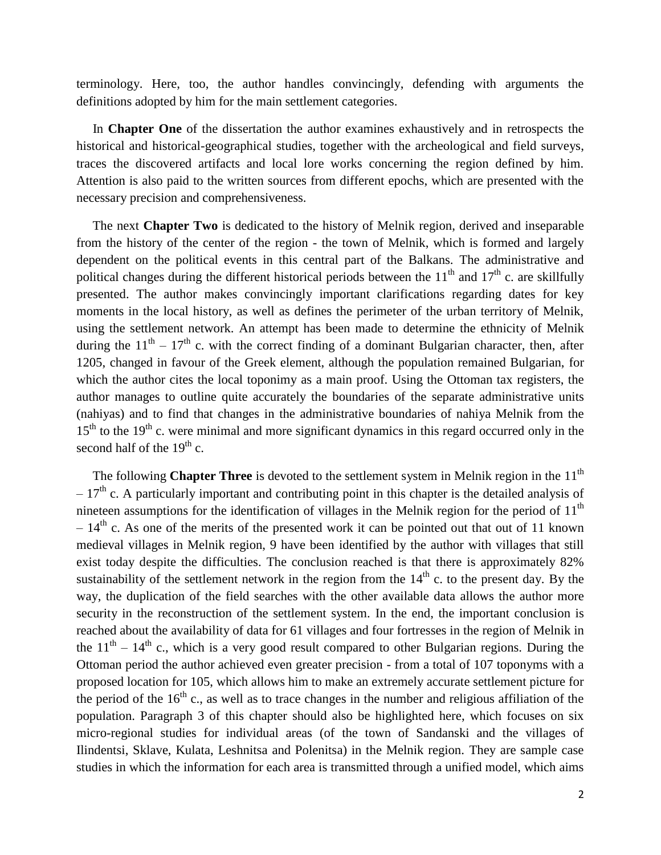terminology. Here, too, the author handles convincingly, defending with arguments the definitions adopted by him for the main settlement categories.

 In **Chapter One** of the dissertation the author examines exhaustively and in retrospects the historical and historical-geographical studies, together with the archeological and field surveys, traces the discovered artifacts and local lore works concerning the region defined by him. Attention is also paid to the written sources from different epochs, which are presented with the necessary precision and comprehensiveness.

 The next **Chapter Two** is dedicated to the history of Melnik region, derived and inseparable from the history of the center of the region - the town of Melnik, which is formed and largely dependent on the political events in this central part of the Balkans. The administrative and political changes during the different historical periods between the  $11<sup>th</sup>$  and  $17<sup>th</sup>$  c. are skillfully presented. The author makes convincingly important clarifications regarding dates for key moments in the local history, as well as defines the perimeter of the urban territory of Melnik, using the settlement network. An attempt has been made to determine the ethnicity of Melnik during the  $11<sup>th</sup> - 17<sup>th</sup>$  c. with the correct finding of a dominant Bulgarian character, then, after 1205, changed in favour of the Greek element, although the population remained Bulgarian, for which the author cites the local toponimy as a main proof. Using the Ottoman tax registers, the author manages to outline quite accurately the boundaries of the separate administrative units (nahiyas) and to find that changes in the administrative boundaries of nahiya Melnik from the  $15<sup>th</sup>$  to the  $19<sup>th</sup>$  c. were minimal and more significant dynamics in this regard occurred only in the second half of the  $19<sup>th</sup>$  c.

The following **Chapter Three** is devoted to the settlement system in Melnik region in the 11<sup>th</sup>  $-17<sup>th</sup>$  c. A particularly important and contributing point in this chapter is the detailed analysis of nineteen assumptions for the identification of villages in the Melnik region for the period of  $11<sup>th</sup>$  $-14<sup>th</sup>$  c. As one of the merits of the presented work it can be pointed out that out of 11 known medieval villages in Melnik region, 9 have been identified by the author with villages that still exist today despite the difficulties. The conclusion reached is that there is approximately 82% sustainability of the settlement network in the region from the  $14<sup>th</sup>$  c. to the present day. By the way, the duplication of the field searches with the other available data allows the author more security in the reconstruction of the settlement system. In the end, the important conclusion is reached about the availability of data for 61 villages and four fortresses in the region of Melnik in the  $11<sup>th</sup> - 14<sup>th</sup>$  c., which is a very good result compared to other Bulgarian regions. During the Ottoman period the author achieved even greater precision - from a total of 107 toponyms with a proposed location for 105, which allows him to make an extremely accurate settlement picture for the period of the  $16<sup>th</sup>$  c., as well as to trace changes in the number and religious affiliation of the population. Paragraph 3 of this chapter should also be highlighted here, which focuses on six micro-regional studies for individual areas (of the town of Sandanski and the villages of Ilindentsi, Sklave, Kulata, Leshnitsa and Polenitsa) in the Melnik region. They are sample case studies in which the information for each area is transmitted through a unified model, which aims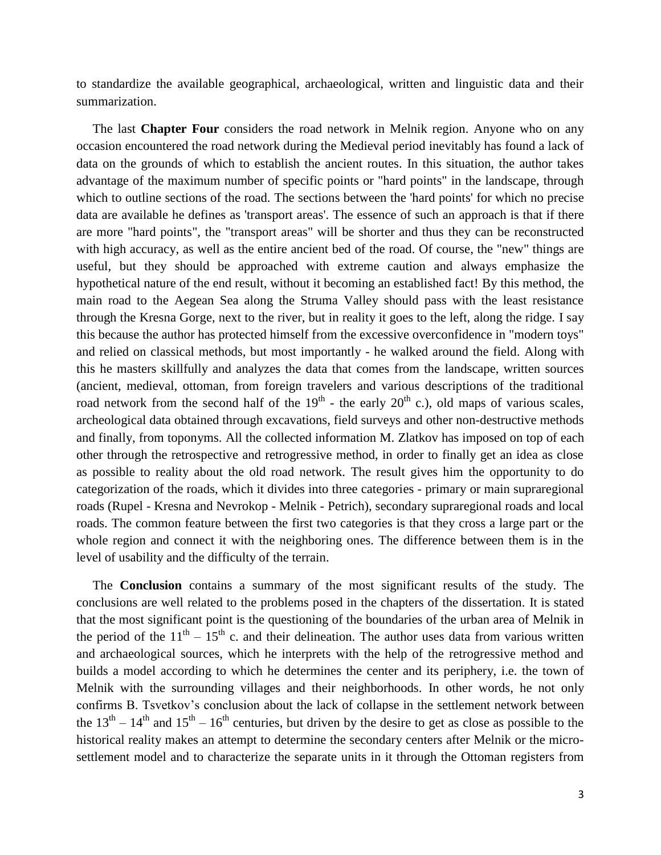to standardize the available geographical, archaeological, written and linguistic data and their summarization.

 The last **Chapter Four** considers the road network in Melnik region. Anyone who on any occasion encountered the road network during the Medieval period inevitably has found a lack of data on the grounds of which to establish the ancient routes. In this situation, the author takes advantage of the maximum number of specific points or "hard points" in the landscape, through which to outline sections of the road. The sections between the 'hard points' for which no precise data are available he defines as 'transport areas'. The essence of such an approach is that if there are more "hard points", the "transport areas" will be shorter and thus they can be reconstructed with high accuracy, as well as the entire ancient bed of the road. Of course, the "new" things are useful, but they should be approached with extreme caution and always emphasize the hypothetical nature of the end result, without it becoming an established fact! By this method, the main road to the Aegean Sea along the Struma Valley should pass with the least resistance through the Kresna Gorge, next to the river, but in reality it goes to the left, along the ridge. I say this because the author has protected himself from the excessive overconfidence in "modern toys" and relied on classical methods, but most importantly - he walked around the field. Along with this he masters skillfully and analyzes the data that comes from the landscape, written sources (ancient, medieval, ottoman, from foreign travelers and various descriptions of the traditional road network from the second half of the  $19<sup>th</sup>$  - the early  $20<sup>th</sup>$  c.), old maps of various scales, archeological data obtained through excavations, field surveys and other non-destructive methods and finally, from toponyms. All the collected information M. Zlatkov has imposed on top of each other through the retrospective and retrogressive method, in order to finally get an idea as close as possible to reality about the old road network. The result gives him the opportunity to do categorization of the roads, which it divides into three categories - primary or main supraregional roads (Rupel - Kresna and Nevrokop - Melnik - Petrich), secondary supraregional roads and local roads. The common feature between the first two categories is that they cross a large part or the whole region and connect it with the neighboring ones. The difference between them is in the level of usability and the difficulty of the terrain.

 The **Conclusion** contains a summary of the most significant results of the study. The conclusions are well related to the problems posed in the chapters of the dissertation. It is stated that the most significant point is the questioning of the boundaries of the urban area of Melnik in the period of the  $11<sup>th</sup> - 15<sup>th</sup>$  c. and their delineation. The author uses data from various written and archaeological sources, which he interprets with the help of the retrogressive method and builds a model according to which he determines the center and its periphery, i.e. the town of Melnik with the surrounding villages and their neighborhoods. In other words, he not only confirms B. Tsvetkov's conclusion about the lack of collapse in the settlement network between the  $13<sup>th</sup> - 14<sup>th</sup>$  and  $15<sup>th</sup> - 16<sup>th</sup>$  centuries, but driven by the desire to get as close as possible to the historical reality makes an attempt to determine the secondary centers after Melnik or the microsettlement model and to characterize the separate units in it through the Ottoman registers from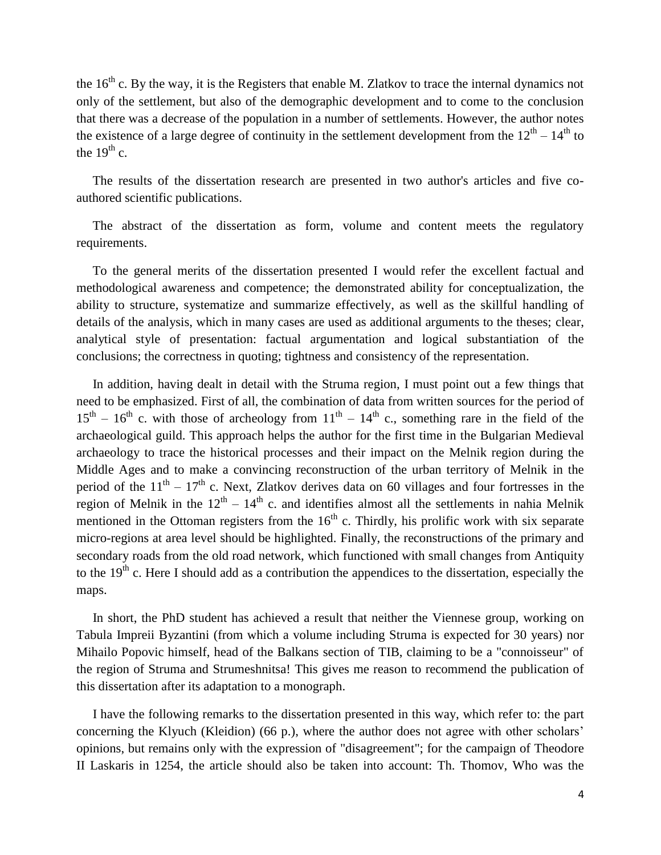the  $16<sup>th</sup>$  c. By the way, it is the Registers that enable M. Zlatkov to trace the internal dynamics not only of the settlement, but also of the demographic development and to come to the conclusion that there was a decrease of the population in a number of settlements. However, the author notes the existence of a large degree of continuity in the settlement development from the  $12<sup>th</sup> - 14<sup>th</sup>$  to the  $19<sup>th</sup>$  c.

 The results of the dissertation research are presented in two author's articles and five coauthored scientific publications.

 The abstract of the dissertation as form, volume and content meets the regulatory requirements.

 To the general merits of the dissertation presented I would refer the excellent factual and methodological awareness and competence; the demonstrated ability for conceptualization, the ability to structure, systematize and summarize effectively, as well as the skillful handling of details of the analysis, which in many cases are used as additional arguments to the theses; clear, analytical style of presentation: factual argumentation and logical substantiation of the conclusions; the correctness in quoting; tightness and consistency of the representation.

 In addition, having dealt in detail with the Struma region, I must point out a few things that need to be emphasized. First of all, the combination of data from written sources for the period of  $15<sup>th</sup> - 16<sup>th</sup>$  c. with those of archeology from  $11<sup>th</sup> - 14<sup>th</sup>$  c., something rare in the field of the archaeological guild. This approach helps the author for the first time in the Bulgarian Medieval archaeology to trace the historical processes and their impact on the Melnik region during the Middle Ages and to make a convincing reconstruction of the urban territory of Melnik in the period of the  $11<sup>th</sup> - 17<sup>th</sup>$  c. Next, Zlatkov derives data on 60 villages and four fortresses in the region of Melnik in the  $12<sup>th</sup> - 14<sup>th</sup>$  c. and identifies almost all the settlements in nahia Melnik mentioned in the Ottoman registers from the  $16<sup>th</sup>$  c. Thirdly, his prolific work with six separate micro-regions at area level should be highlighted. Finally, the reconstructions of the primary and secondary roads from the old road network, which functioned with small changes from Antiquity to the  $19<sup>th</sup>$  c. Here I should add as a contribution the appendices to the dissertation, especially the maps.

 In short, the PhD student has achieved a result that neither the Viennese group, working on Tabula Impreii Byzantini (from which a volume including Struma is expected for 30 years) nor Mihailo Popovic himself, head of the Balkans section of TIB, claiming to be a "connoisseur" of the region of Struma and Strumeshnitsa! This gives me reason to recommend the publication of this dissertation after its adaptation to a monograph.

 I have the following remarks to the dissertation presented in this way, which refer to: the part concerning the Klyuch (Kleidion) (66 p.), where the author does not agree with other scholars' opinions, but remains only with the expression of "disagreement"; for the campaign of Theodore II Laskaris in 1254, the article should also be taken into account: Th. Thomov, Who was the